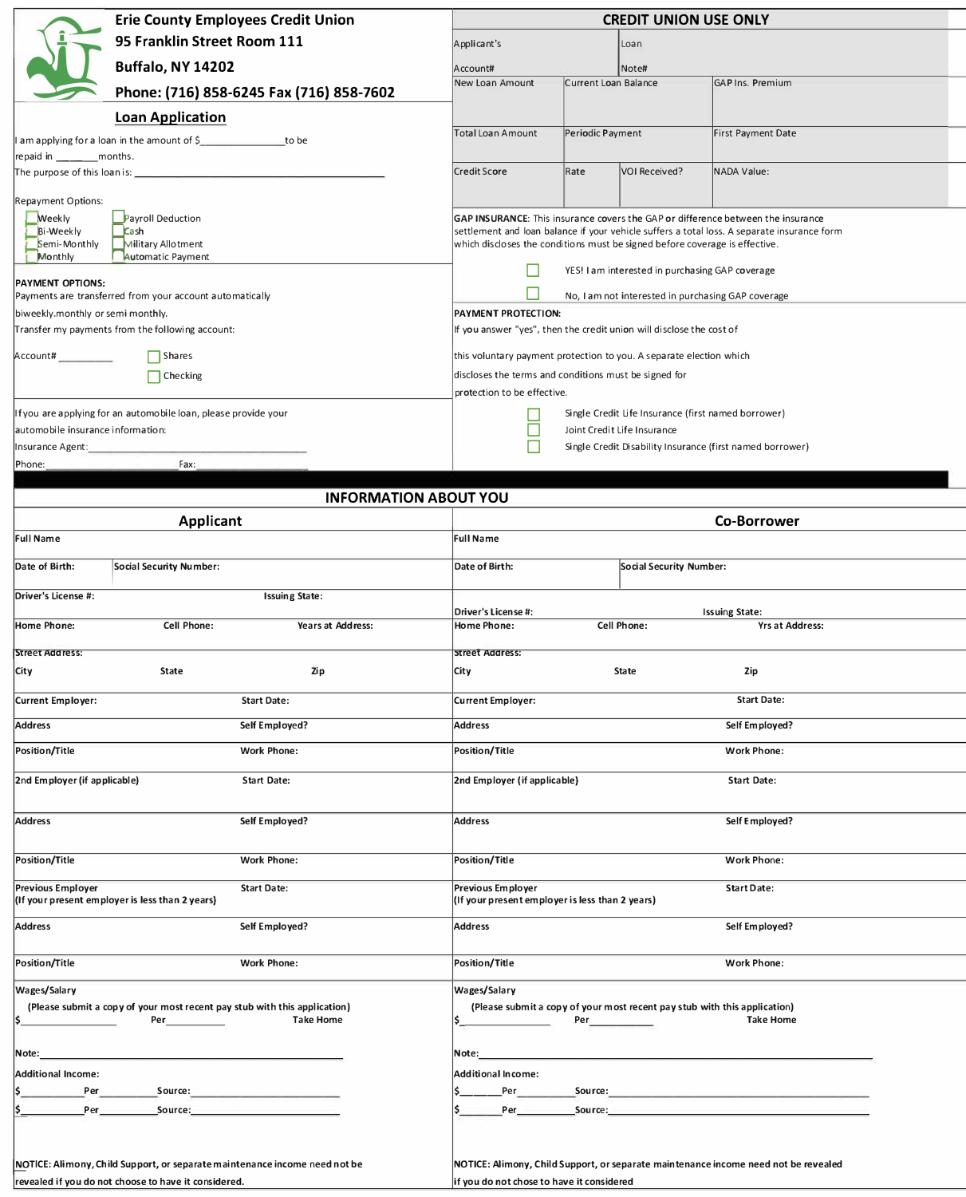|                                                              | <b>Erie County Employees Credit Union</b>                                                             | <b>CREDIT UNION USE ONLY</b><br>Applicant's<br>Loan                                                                                                                             |                      |                                                                           |                                                                                                                                                                                                                                      |  |  |  |
|--------------------------------------------------------------|-------------------------------------------------------------------------------------------------------|---------------------------------------------------------------------------------------------------------------------------------------------------------------------------------|----------------------|---------------------------------------------------------------------------|--------------------------------------------------------------------------------------------------------------------------------------------------------------------------------------------------------------------------------------|--|--|--|
|                                                              | 95 Franklin Street Room 111                                                                           |                                                                                                                                                                                 |                      |                                                                           |                                                                                                                                                                                                                                      |  |  |  |
|                                                              | <b>Buffalo, NY 14202</b>                                                                              |                                                                                                                                                                                 |                      |                                                                           |                                                                                                                                                                                                                                      |  |  |  |
|                                                              |                                                                                                       | Account#<br>New Loan Amount                                                                                                                                                     | Current Loan Balance | Note#                                                                     | <b>GAP Ins. Premium</b>                                                                                                                                                                                                              |  |  |  |
|                                                              | Phone: (716) 858-6245 Fax (716) 858-7602                                                              |                                                                                                                                                                                 |                      |                                                                           |                                                                                                                                                                                                                                      |  |  |  |
|                                                              | <b>Loan Application</b>                                                                               | <b>Total Loan Amount</b>                                                                                                                                                        | Periodic Payment     |                                                                           | <b>First Payment Date</b>                                                                                                                                                                                                            |  |  |  |
|                                                              | am applying for a loan in the amount of \$                                                            |                                                                                                                                                                                 |                      |                                                                           |                                                                                                                                                                                                                                      |  |  |  |
| repaid in __________ months.<br>The purpose of this loan is: |                                                                                                       | <b>Credit Score</b>                                                                                                                                                             | Rate                 | <b>VOI Received?</b>                                                      | <b>NADA Value:</b>                                                                                                                                                                                                                   |  |  |  |
|                                                              |                                                                                                       |                                                                                                                                                                                 |                      |                                                                           |                                                                                                                                                                                                                                      |  |  |  |
| Repayment Options:                                           |                                                                                                       |                                                                                                                                                                                 |                      |                                                                           |                                                                                                                                                                                                                                      |  |  |  |
| <b>Weekly</b><br><b>Bi-Weekly</b>                            | <b>Payroll Deduction</b><br>Cash                                                                      | GAP INSURANCE: This insurance covers the GAP or difference between the insurance<br>settlement and loan balance if your vehicle suffers a total loss. A separate insurance form |                      |                                                                           |                                                                                                                                                                                                                                      |  |  |  |
| Semi-Monthly                                                 | Military Allotment<br><b>Automatic Payment</b>                                                        | which discloses the conditions must be signed before coverage is effective.                                                                                                     |                      |                                                                           |                                                                                                                                                                                                                                      |  |  |  |
| Monthly                                                      | YES! I am interested in purchasing GAP coverage                                                       |                                                                                                                                                                                 |                      |                                                                           |                                                                                                                                                                                                                                      |  |  |  |
|                                                              | <b>PAYMENT OPTIONS:</b><br>Payments are transferred from your account automatically                   |                                                                                                                                                                                 |                      |                                                                           |                                                                                                                                                                                                                                      |  |  |  |
| biweekly.monthly or semi monthly.                            | No, I am not interested in purchasing GAP coverage<br>PAYMENT PROTECTION:                             |                                                                                                                                                                                 |                      |                                                                           |                                                                                                                                                                                                                                      |  |  |  |
|                                                              | Transfer my payments from the following account:                                                      | If you answer "yes", then the credit union will disclose the cost of                                                                                                            |                      |                                                                           |                                                                                                                                                                                                                                      |  |  |  |
| Account#___________                                          | $\Box$ Shares                                                                                         | this voluntary payment protection to you. A separate election which                                                                                                             |                      |                                                                           |                                                                                                                                                                                                                                      |  |  |  |
|                                                              | $\Box$ Checking                                                                                       | discloses the terms and conditions must be signed for                                                                                                                           |                      |                                                                           |                                                                                                                                                                                                                                      |  |  |  |
|                                                              |                                                                                                       | protection to be effective.                                                                                                                                                     |                      |                                                                           |                                                                                                                                                                                                                                      |  |  |  |
|                                                              | If you are applying for an automobile loan, please provide your                                       |                                                                                                                                                                                 |                      | Single Credit Life Insurance (first named borrower)                       |                                                                                                                                                                                                                                      |  |  |  |
| automobile insurance information:                            |                                                                                                       |                                                                                                                                                                                 |                      | Joint Credit Life Insurance                                               |                                                                                                                                                                                                                                      |  |  |  |
| Insurance Agent:                                             |                                                                                                       | П                                                                                                                                                                               |                      |                                                                           | Single Credit Disability Insurance (first named borrower)                                                                                                                                                                            |  |  |  |
| Phone:                                                       | Fax:                                                                                                  |                                                                                                                                                                                 |                      |                                                                           |                                                                                                                                                                                                                                      |  |  |  |
|                                                              | <b>INFORMATION ABOUT YOU</b>                                                                          |                                                                                                                                                                                 |                      |                                                                           |                                                                                                                                                                                                                                      |  |  |  |
|                                                              |                                                                                                       |                                                                                                                                                                                 |                      |                                                                           | <b>Co-Borrower</b>                                                                                                                                                                                                                   |  |  |  |
| <b>Full Name</b>                                             | Applicant                                                                                             | <b>Full Name</b>                                                                                                                                                                |                      |                                                                           |                                                                                                                                                                                                                                      |  |  |  |
|                                                              |                                                                                                       |                                                                                                                                                                                 |                      |                                                                           |                                                                                                                                                                                                                                      |  |  |  |
| Date of Birth:                                               | <b>Social Security Number:</b>                                                                        | Date of Birth:                                                                                                                                                                  |                      | <b>Social Security Number:</b>                                            |                                                                                                                                                                                                                                      |  |  |  |
| Driver's License #:                                          | <b>Issuing State:</b>                                                                                 |                                                                                                                                                                                 |                      |                                                                           |                                                                                                                                                                                                                                      |  |  |  |
|                                                              |                                                                                                       | Driver's License #:                                                                                                                                                             |                      |                                                                           | <b>Issuing State:</b>                                                                                                                                                                                                                |  |  |  |
| <b>Home Phone:</b>                                           | <b>Cell Phone:</b><br><b>Years at Address:</b>                                                        | <b>Home Phone:</b>                                                                                                                                                              |                      | Cell Phone:                                                               | <b>Yrs at Address:</b>                                                                                                                                                                                                               |  |  |  |
|                                                              |                                                                                                       |                                                                                                                                                                                 |                      |                                                                           |                                                                                                                                                                                                                                      |  |  |  |
| <b>Street Address:</b>                                       |                                                                                                       | <b>Street Address:</b>                                                                                                                                                          |                      |                                                                           |                                                                                                                                                                                                                                      |  |  |  |
| City                                                         | <b>State</b><br>Zip                                                                                   | City                                                                                                                                                                            |                      | <b>State</b>                                                              | <b>Zip</b>                                                                                                                                                                                                                           |  |  |  |
| <b>Current Employer:</b>                                     | <b>Start Date:</b>                                                                                    | <b>Current Employer:</b>                                                                                                                                                        |                      |                                                                           | <b>Start Date:</b>                                                                                                                                                                                                                   |  |  |  |
| <b>Address</b>                                               | Self Employed?                                                                                        | <b>Address</b>                                                                                                                                                                  |                      |                                                                           | Self Employed?                                                                                                                                                                                                                       |  |  |  |
| Position/Title                                               | <b>Work Phone:</b>                                                                                    | <b>Position/Title</b>                                                                                                                                                           |                      |                                                                           | <b>Work Phone:</b>                                                                                                                                                                                                                   |  |  |  |
| 2nd Employer (if applicable)                                 | <b>Start Date:</b>                                                                                    | 2nd Employer (if applicable)                                                                                                                                                    |                      |                                                                           | <b>Start Date:</b>                                                                                                                                                                                                                   |  |  |  |
|                                                              |                                                                                                       |                                                                                                                                                                                 |                      |                                                                           |                                                                                                                                                                                                                                      |  |  |  |
| Address                                                      | Self Employed?                                                                                        | Address                                                                                                                                                                         |                      |                                                                           | Self Employed?                                                                                                                                                                                                                       |  |  |  |
|                                                              | <b>Work Phone:</b>                                                                                    |                                                                                                                                                                                 |                      |                                                                           |                                                                                                                                                                                                                                      |  |  |  |
| Position/Title                                               |                                                                                                       | Position/Title                                                                                                                                                                  |                      |                                                                           | Work Phone:                                                                                                                                                                                                                          |  |  |  |
| <b>Previous Employer</b>                                     | <b>Start Date:</b><br>(If your present employer is less than 2 years)                                 | <b>Previous Employer</b><br>(If your present employer is less than 2 years)                                                                                                     |                      |                                                                           | <b>Start Date:</b>                                                                                                                                                                                                                   |  |  |  |
| Address                                                      | Self Employed?                                                                                        | Address                                                                                                                                                                         |                      |                                                                           | Self Employed?                                                                                                                                                                                                                       |  |  |  |
| Position/Title                                               | <b>Work Phone:</b>                                                                                    | Position/Title                                                                                                                                                                  |                      |                                                                           | <b>Work Phone:</b>                                                                                                                                                                                                                   |  |  |  |
|                                                              |                                                                                                       |                                                                                                                                                                                 |                      |                                                                           |                                                                                                                                                                                                                                      |  |  |  |
| <b>Wages/Salary</b>                                          |                                                                                                       | Wages/Salary                                                                                                                                                                    |                      |                                                                           |                                                                                                                                                                                                                                      |  |  |  |
| I\$.                                                         | (Please submit a copy of your most recent pay stub with this application)<br>Per_<br><b>Take Home</b> |                                                                                                                                                                                 | Per                  | (Please submit a copy of your most recent pay stub with this application) | <b>Take Home</b>                                                                                                                                                                                                                     |  |  |  |
|                                                              |                                                                                                       |                                                                                                                                                                                 |                      |                                                                           |                                                                                                                                                                                                                                      |  |  |  |
| Note:                                                        | <u> 1989 - Andrea Stadt, amerikansk politik (d. 1989)</u>                                             | Note:__                                                                                                                                                                         |                      |                                                                           |                                                                                                                                                                                                                                      |  |  |  |
| <b>Additional Income:</b>                                    |                                                                                                       | <b>Additional Income:</b>                                                                                                                                                       |                      |                                                                           |                                                                                                                                                                                                                                      |  |  |  |
| Per                                                          | Source:                                                                                               | _Per_____                                                                                                                                                                       | __Source:____        |                                                                           |                                                                                                                                                                                                                                      |  |  |  |
|                                                              |                                                                                                       |                                                                                                                                                                                 |                      |                                                                           | <b>Per Source: Source: Source: Source: Source: Source: Source: Source: Source: Source: Source: Source: Source: Source: Source: Source: Source: Source: Source: Source: Source: Source: Source: Source: Source: Source: Source: S</b> |  |  |  |
|                                                              |                                                                                                       |                                                                                                                                                                                 |                      |                                                                           |                                                                                                                                                                                                                                      |  |  |  |
|                                                              | NOTICE: Alimony, Child Support, or separate maintenance income need not be                            |                                                                                                                                                                                 |                      |                                                                           | NOTICE: Alimony, Child Support, or separate maintenance income need not be revealed                                                                                                                                                  |  |  |  |